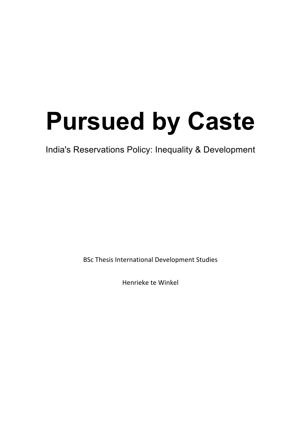# **Pursued by Caste**

India's Reservations Policy: Inequality & Development

BSc Thesis International Development Studies

Henrieke te Winkel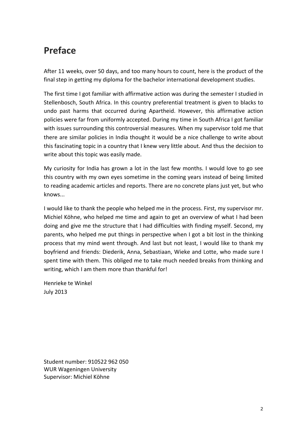## **Preface**

After 11 weeks, over 50 days, and too many hours to count, here is the product of the final step in getting my diploma for the bachelor international development studies.

The first time I got familiar with affirmative action was during the semester I studied in Stellenbosch, South Africa. In this country preferential treatment is given to blacks to undo past harms that occurred during Apartheid. However, this affirmative action policies were far from uniformly accepted. During my time in South Africa I got familiar with issues surrounding this controversial measures. When my supervisor told me that there are similar policies in India thought it would be a nice challenge to write about this fascinating topic in a country that I knew very little about. And thus the decision to write about this topic was easily made.

My curiosity for India has grown a lot in the last few months. I would love to go see this country with my own eyes sometime in the coming years instead of being limited to reading academic articles and reports. There are no concrete plans just yet, but who knows...

I would like to thank the people who helped me in the process. First, my supervisor mr. Michiel Köhne, who helped me time and again to get an overview of what I had been doing and give me the structure that I had difficulties with finding myself. Second, my parents, who helped me put things in perspective when I got a bit lost in the thinking process that my mind went through. And last but not least, I would like to thank my boyfriend and friends: Diederik, Anna, Sebastiaan, Wieke and Lotte, who made sure I spent time with them. This obliged me to take much needed breaks from thinking and writing, which I am them more than thankful for!

Henrieke te Winkel July 2013

Student number: 910522 962 050 WUR Wageningen University Supervisor: Michiel Köhne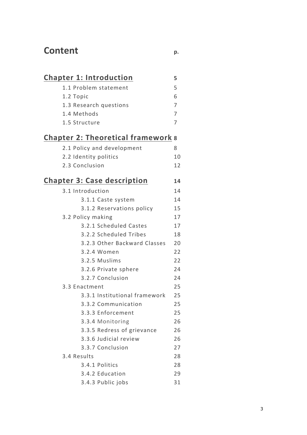# **Content p.**

|  | <b>Chapter 1: Introduction</b>            | 5  |
|--|-------------------------------------------|----|
|  | 1.1 Problem statement                     | 5  |
|  | 1.2 Topic                                 | 6  |
|  | 1.3 Research questions                    | 7  |
|  | 1.4 Methods                               | 7  |
|  | 1.5 Structure                             | 7  |
|  | <b>Chapter 2: Theoretical framework 8</b> |    |
|  | 2.1 Policy and development                | 8  |
|  | 2.2 Identity politics                     | 10 |
|  | 2.3 Conclusion                            | 12 |
|  | <b>Chapter 3: Case description</b>        | 14 |
|  | 3.1 Introduction                          | 14 |
|  | 3.1.1 Caste system                        | 14 |
|  | 3.1.2 Reservations policy                 | 15 |
|  | 3.2 Policy making                         | 17 |
|  | 3.2.1 Scheduled Castes                    | 17 |
|  | 3.2.2 Scheduled Tribes                    | 18 |
|  | 3.2.3 Other Backward Classes              | 20 |
|  | 3.2.4 Women                               | 22 |
|  | 3.2.5 Muslims                             | 22 |
|  | 3.2.6 Private sphere                      | 24 |
|  | 3.2.7 Conclusion                          | 24 |
|  | 3.3 Enactment                             | 25 |
|  | 3.3.1 Institutional framework             | 25 |
|  | 3.3.2 Communication                       | 25 |
|  | 3.3.3 Enforcement                         | 25 |
|  | 3.3.4 Monitoring                          | 26 |
|  | 3.3.5 Redress of grievance                | 26 |
|  | 3.3.6 Judicial review                     | 26 |
|  |                                           |    |

| 3.3.7 Conclusion | 27 |
|------------------|----|
| 3.4 Results      | 28 |
| 3.4.1 Politics   | 28 |
| 3.4.2 Education  | つり |
|                  |    |

3.4.3 Public jobs 31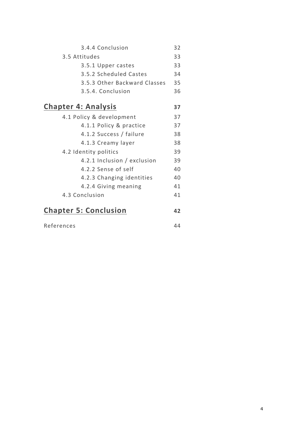| 3.4.4 Conclusion<br>32<br>3.5 Attitudes<br>33<br>33<br>3.5.1 Upper castes<br>3.5.2 Scheduled Castes<br>34<br>3.5.3 Other Backward Classes<br>35<br>36<br>3.5.4. Conclusion<br><b>Chapter 4: Analysis</b><br>37<br>4.1 Policy & development<br>37<br>37<br>4.1.1 Policy & practice<br>38<br>4.1.2 Success / failure |
|--------------------------------------------------------------------------------------------------------------------------------------------------------------------------------------------------------------------------------------------------------------------------------------------------------------------|
|                                                                                                                                                                                                                                                                                                                    |
|                                                                                                                                                                                                                                                                                                                    |
|                                                                                                                                                                                                                                                                                                                    |
|                                                                                                                                                                                                                                                                                                                    |
|                                                                                                                                                                                                                                                                                                                    |
|                                                                                                                                                                                                                                                                                                                    |
|                                                                                                                                                                                                                                                                                                                    |
|                                                                                                                                                                                                                                                                                                                    |
|                                                                                                                                                                                                                                                                                                                    |
|                                                                                                                                                                                                                                                                                                                    |
| 4.1.3 Creamy layer<br>38                                                                                                                                                                                                                                                                                           |
| 39<br>4.2 Identity politics                                                                                                                                                                                                                                                                                        |
| 4.2.1 Inclusion / exclusion<br>39                                                                                                                                                                                                                                                                                  |
| 4.2.2 Sense of self<br>40                                                                                                                                                                                                                                                                                          |
| 4.2.3 Changing identities<br>40                                                                                                                                                                                                                                                                                    |
| 4.2.4 Giving meaning<br>41                                                                                                                                                                                                                                                                                         |
| 4.3 Conclusion<br>41                                                                                                                                                                                                                                                                                               |
| <b>Chapter 5: Conclusion</b><br>42                                                                                                                                                                                                                                                                                 |

| References | 44 |
|------------|----|
|            |    |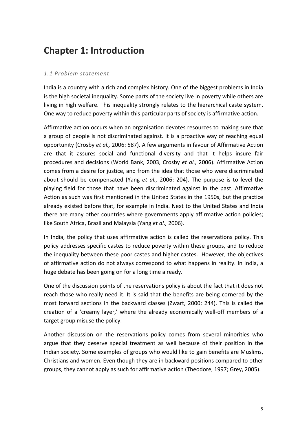# **Chapter 1: Introduction**

#### *1.1 Problem statement*

India is a country with a rich and complex history. One of the biggest problems in India is the high societal inequality. Some parts of the society live in poverty while others are living in high welfare. This inequality strongly relates to the hierarchical caste system. One way to reduce poverty within this particular parts of society is affirmative action.

Affirmative action occurs when an organisation devotes resources to making sure that a group of people is not discriminated against. It is a proactive way of reaching equal opportunity (Crosby et al., 2006: 587). A few arguments in favour of Affirmative Action are that it assures social and functional diversity and that it helps insure fair procedures and decisions (World Bank, 2003, Crosby et al., 2006). Affirmative Action comes from a desire for justice, and from the idea that those who were discriminated about should be compensated (Yang *et al.,* 2006: 204). The purpose is to level the playing field for those that have been discriminated against in the past. Affirmative Action as such was first mentioned in the United States in the 1950s, but the practice already existed before that, for example in India. Next to the United States and India there are many other countries where governments apply affirmative action policies; like South Africa, Brazil and Malaysia (Yang et al., 2006).

In India, the policy that uses affirmative action is called the reservations policy. This policy addresses specific castes to reduce poverty within these groups, and to reduce the inequality between these poor castes and higher castes. However, the objectives of affirmative action do not always correspond to what happens in reality. In India, a huge debate has been going on for a long time already.

One of the discussion points of the reservations policy is about the fact that it does not reach those who really need it. It is said that the benefits are being cornered by the most forward sections in the backward classes (Zwart, 2000: 244). This is called the creation of a 'creamy layer,' where the already economically well-off members of a target group misuse the policy.

Another discussion on the reservations policy comes from several minorities who argue that they deserve special treatment as well because of their position in the Indian society. Some examples of groups who would like to gain benefits are Muslims, Christians and women. Even though they are in backward positions compared to other groups, they cannot apply as such for affirmative action (Theodore, 1997; Grey, 2005).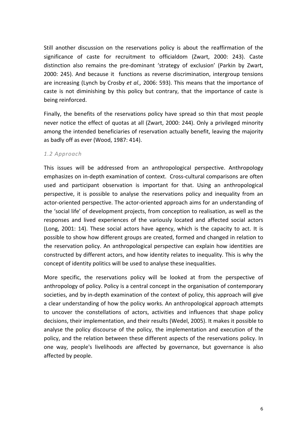Still another discussion on the reservations policy is about the reaffirmation of the significance of caste for recruitment to officialdom (Zwart, 2000: 243). Caste distinction also remains the pre-dominant 'strategy of exclusion' (Parkin by Zwart, 2000: 245). And because it functions as reverse discrimination, intergroup tensions are increasing (Lynch by Crosby et al., 2006: 593). This means that the importance of caste is not diminishing by this policy but contrary, that the importance of caste is being reinforced.

Finally, the benefits of the reservations policy have spread so thin that most people never notice the effect of quotas at all (Zwart, 2000: 244). Only a privileged minority among the intended beneficiaries of reservation actually benefit, leaving the majority as badly off as ever (Wood, 1987: 414).

#### *1.2 Approach*

This issues will be addressed from an anthropological perspective. Anthropology emphasizes on in-depth examination of context. Cross-cultural comparisons are often used and participant observation is important for that. Using an anthropological perspective, it is possible to analyse the reservations policy and inequality from an actor-oriented perspective. The actor-oriented approach aims for an understanding of the 'social life' of development projects, from conception to realisation, as well as the responses and lived experiences of the variously located and affected social actors (Long, 2001: 14). These social actors have agency, which is the capacity to act. It is possible to show how different groups are created, formed and changed in relation to the reservation policy. An anthropological perspective can explain how identities are constructed by different actors, and how identity relates to inequality. This is why the concept of identity politics will be used to analyse these inequalities.

More specific, the reservations policy will be looked at from the perspective of anthropology of policy. Policy is a central concept in the organisation of contemporary societies, and by in-depth examination of the context of policy, this approach will give a clear understanding of how the policy works. An anthropological approach attempts to uncover the constellations of actors, activities and influences that shape policy decisions, their implementation, and their results (Wedel, 2005). It makes it possible to analyse the policy discourse of the policy, the implementation and execution of the policy, and the relation between these different aspects of the reservations policy. In one way, people's livelihoods are affected by governance, but governance is also affected by people.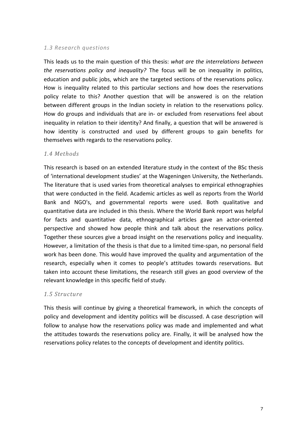#### 1.3 Research auestions

This leads us to the main question of this thesis: *what are the interrelations between the reservations policy and inequality?* The focus will be on inequality in politics, education and public jobs, which are the targeted sections of the reservations policy. How is inequality related to this particular sections and how does the reservations policy relate to this? Another question that will be answered is on the relation between different groups in the Indian society in relation to the reservations policy. How do groups and individuals that are in- or excluded from reservations feel about inequality in relation to their identity? And finally, a question that will be answered is how identity is constructed and used by different groups to gain benefits for themselves with regards to the reservations policy.

#### *1.4 Methods*

This research is based on an extended literature study in the context of the BSc thesis of 'international development studies' at the Wageningen University, the Netherlands. The literature that is used varies from theoretical analyses to empirical ethnographies that were conducted in the field. Academic articles as well as reports from the World Bank and NGO's, and governmental reports were used. Both qualitative and quantitative data are included in this thesis. Where the World Bank report was helpful for facts and quantitative data, ethnographical articles gave an actor-oriented perspective and showed how people think and talk about the reservations policy. Together these sources give a broad insight on the reservations policy and inequality. However, a limitation of the thesis is that due to a limited time-span, no personal field work has been done. This would have improved the quality and argumentation of the research, especially when it comes to people's attitudes towards reservations. But taken into account these limitations, the research still gives an good overview of the relevant knowledge in this specific field of study.

#### *1.5 Structure*

This thesis will continue by giving a theoretical framework, in which the concepts of policy and development and identity politics will be discussed. A case description will follow to analyse how the reservations policy was made and implemented and what the attitudes towards the reservations policy are. Finally, it will be analysed how the reservations policy relates to the concepts of development and identity politics.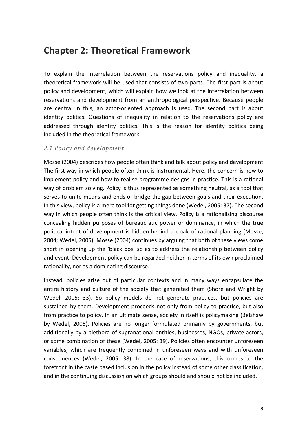### **Chapter 2: Theoretical Framework**

To explain the interrelation between the reservations policy and inequality, a theoretical framework will be used that consists of two parts. The first part is about policy and development, which will explain how we look at the interrelation between reservations and development from an anthropological perspective. Because people are central in this, an actor-oriented approach is used. The second part is about identity politics. Questions of inequality in relation to the reservations policy are addressed through identity politics. This is the reason for identity politics being included in the theoretical framework.

#### *2.1 Policy and development*

Mosse (2004) describes how people often think and talk about policy and development. The first way in which people often think is instrumental. Here, the concern is how to implement policy and how to realise programme designs in practice. This is a rational way of problem solving. Policy is thus represented as something neutral, as a tool that serves to unite means and ends or bridge the gap between goals and their execution. In this view, policy is a mere tool for getting things done (Wedel, 2005: 37). The second way in which people often think is the critical view. Policy is a rationalising discourse concealing hidden purposes of bureaucratic power or dominance, in which the true political intent of development is hidden behind a cloak of rational planning (Mosse, 2004; Wedel, 2005). Mosse (2004) continues by arguing that both of these views come short in opening up the 'black box' so as to address the relationship between policy and event. Development policy can be regarded neither in terms of its own proclaimed rationality, nor as a dominating discourse.

Instead, policies arise out of particular contexts and in many ways encapsulate the entire history and culture of the society that generated them (Shore and Wright by Wedel, 2005: 33). So policy models do not generate practices, but policies are sustained by them. Development proceeds not only from policy to practice, but also from practice to policy. In an ultimate sense, society in itself is policymaking (Belshaw by Wedel, 2005). Policies are no longer formulated primarily by governments, but additionally by a plethora of supranational entities, businesses, NGOs, private actors, or some combination of these (Wedel, 2005: 39). Policies often encounter unforeseen variables, which are frequently combined in unforeseen ways and with unforeseen consequences (Wedel, 2005: 38). In the case of reservations, this comes to the forefront in the caste based inclusion in the policy instead of some other classification, and in the continuing discussion on which groups should and should not be included.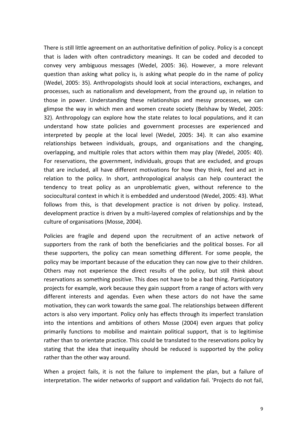There is still little agreement on an authoritative definition of policy. Policy is a concept that is laden with often contradictory meanings. It can be coded and decoded to convey very ambiguous messages (Wedel, 2005: 36). However, a more relevant question than asking what policy is, is asking what people do in the name of policy (Wedel, 2005: 35). Anthropologists should look at social interactions, exchanges, and processes, such as nationalism and development, from the ground up, in relation to those in power. Understanding these relationships and messy processes, we can glimpse the way in which men and women create society (Belshaw by Wedel, 2005: 32). Anthropology can explore how the state relates to local populations, and it can understand how state policies and government processes are experienced and interpreted by people at the local level (Wedel, 2005: 34). It can also examine relationships between individuals, groups, and organisations and the changing, overlapping, and multiple roles that actors within them may play (Wedel, 2005: 40). For reservations, the government, individuals, groups that are excluded, and groups that are included, all have different motivations for how they think, feel and act in relation to the policy. In short, anthropological analysis can help counteract the tendency to treat policy as an unproblematic given, without reference to the sociocultural context in which it is embedded and understood (Wedel, 2005: 43). What follows from this, is that development practice is not driven by policy. Instead, development practice is driven by a multi-layered complex of relationships and by the culture of organisations (Mosse, 2004).

Policies are fragile and depend upon the recruitment of an active network of supporters from the rank of both the beneficiaries and the political bosses. For all these supporters, the policy can mean something different. For some people, the policy may be important because of the education they can now give to their children. Others may not experience the direct results of the policy, but still think about reservations as something positive. This does not have to be a bad thing. Participatory projects for example, work because they gain support from a range of actors with very different interests and agendas. Even when these actors do not have the same motivation, they can work towards the same goal. The relationships between different actors is also very important. Policy only has effects through its imperfect translation into the intentions and ambitions of others Mosse (2004) even argues that policy primarily functions to mobilise and maintain political support, that is to legitimise rather than to orientate practice. This could be translated to the reservations policy by stating that the idea that inequality should be reduced is supported by the policy rather than the other way around.

When a project fails, it is not the failure to implement the plan, but a failure of interpretation. The wider networks of support and validation fail. 'Projects do not fail,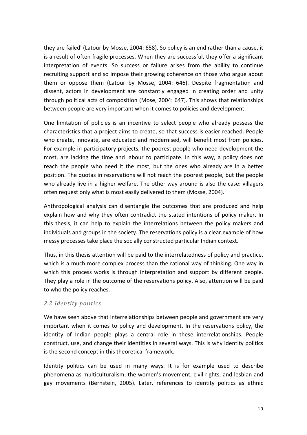they are failed' (Latour by Mosse, 2004: 658). So policy is an end rather than a cause, it is a result of often fragile processes. When they are successful, they offer a significant interpretation of events. So success or failure arises from the ability to continue recruiting support and so impose their growing coherence on those who argue about them or oppose them (Latour by Mosse, 2004: 646). Despite fragmentation and dissent, actors in development are constantly engaged in creating order and unity through political acts of composition (Mose, 2004: 647). This shows that relationships between people are very important when it comes to policies and development.

One limitation of policies is an incentive to select people who already possess the characteristics that a project aims to create, so that success is easier reached. People who create, innovate, are educated and modernised, will benefit most from policies. For example in participatory projects, the poorest people who need development the most, are lacking the time and labour to participate. In this way, a policy does not reach the people who need it the most, but the ones who already are in a better position. The quotas in reservations will not reach the poorest people, but the people who already live in a higher welfare. The other way around is also the case: villagers often request only what is most easily delivered to them (Mosse, 2004).

Anthropological analysis can disentangle the outcomes that are produced and help explain how and why they often contradict the stated intentions of policy maker. In this thesis, it can help to explain the interrelations between the policy makers and individuals and groups in the society. The reservations policy is a clear example of how messy processes take place the socially constructed particular Indian context.

Thus, in this thesis attention will be paid to the interrelatedness of policy and practice, which is a much more complex process than the rational way of thinking. One way in which this process works is through interpretation and support by different people. They play a role in the outcome of the reservations policy. Also, attention will be paid to who the policy reaches.

#### *2.2 Identity politics*

We have seen above that interrelationships between people and government are very important when it comes to policy and development. In the reservations policy, the identity of Indian people plays a central role in these interrelationships. People construct, use, and change their identities in several ways. This is why identity politics is the second concept in this theoretical framework.

Identity politics can be used in many ways. It is for example used to describe phenomena as multiculturalism, the women's movement, civil rights, and lesbian and gay movements (Bernstein, 2005). Later, references to identity politics as ethnic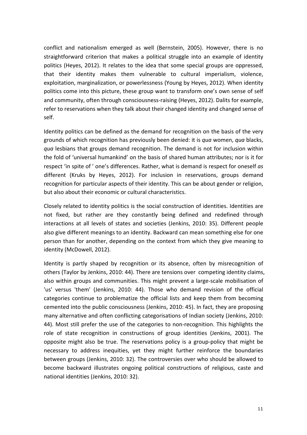conflict and nationalism emerged as well (Bernstein, 2005). However, there is no straightforward criterion that makes a political struggle into an example of identity politics (Heyes, 2012). It relates to the idea that some special groups are oppressed, that their identity makes them vulnerable to cultural imperialism, violence, exploitation, marginalization, or powerlessness (Young by Heyes, 2012). When identity politics come into this picture, these group want to transform one's own sense of self and community, often through consciousness-raising (Heyes, 2012). Dalits for example, refer to reservations when they talk about their changed identity and changed sense of self.

Identity politics can be defined as the demand for recognition on the basis of the very grounds of which recognition has previously been denied: it is *qua* women, *qua* blacks, *qua* lesbians that groups demand recognition. The demand is not for inclusion within the fold of 'universal humankind' on the basis of shared human attributes; nor is it for respect 'in spite of' one's differences. Rather, what is demand is respect for oneself as different (Kruks by Heyes, 2012). For inclusion in reservations, groups demand recognition for particular aspects of their identity. This can be about gender or religion, but also about their economic or cultural characteristics.

Closely related to identity politics is the social construction of identities. Identities are not fixed, but rather are they constantly being defined and redefined through interactions at all levels of states and societies (Jenkins, 2010: 35). Different people also give different meanings to an identity. Backward can mean something else for one person than for another, depending on the context from which they give meaning to identity (McDowell, 2012).

Identity is partly shaped by recognition or its absence, often by misrecognition of others (Taylor by Jenkins, 2010: 44). There are tensions over competing identity claims, also within groups and communities. This might prevent a large-scale mobilisation of 'us' versus 'them' (Jenkins, 2010: 44). Those who demand revision of the official categories continue to problematize the official lists and keep them from becoming cemented into the public consciousness (Jenkins, 2010: 45). In fact, they are proposing many alternative and often conflicting categorisations of Indian society (Jenkins, 2010: 44). Most still prefer the use of the categories to non-recognition. This highlights the role of state recognition in constructions of group identities (Jenkins, 2001). The opposite might also be true. The reservations policy is a group-policy that might be necessary to address inequities, yet they might further reinforce the boundaries between groups (Jenkins, 2010: 32). The controversies over who should be allowed to become backward illustrates ongoing political constructions of religious, caste and national identities (Jenkins, 2010: 32).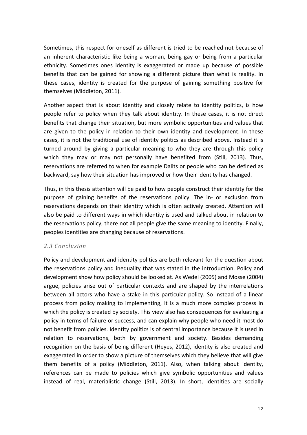Sometimes, this respect for oneself as different is tried to be reached not because of an inherent characteristic like being a woman, being gay or being from a particular ethnicity. Sometimes ones identity is exaggerated or made up because of possible benefits that can be gained for showing a different picture than what is reality. In these cases, identity is created for the purpose of gaining something positive for themselves (Middleton, 2011).

Another aspect that is about identity and closely relate to identity politics, is how people refer to policy when they talk about identity. In these cases, it is not direct benefits that change their situation, but more symbolic opportunities and values that are given to the policy in relation to their own identity and development. In these cases, it is not the traditional use of identity politics as described above. Instead it is turned around by giving a particular meaning to who they are through this policy which they may or may not personally have benefited from (Still, 2013). Thus, reservations are referred to when for example Dalits or people who can be defined as backward, say how their situation has improved or how their identity has changed.

Thus, in this thesis attention will be paid to how people construct their identity for the purpose of gaining benefits of the reservations policy. The in- or exclusion from reservations depends on their identity which is often actively created. Attention will also be paid to different ways in which identity is used and talked about in relation to the reservations policy, there not all people give the same meaning to identity. Finally, peoples identities are changing because of reservations.

#### *2.3 Conclusion*

Policy and development and identity politics are both relevant for the question about the reservations policy and inequality that was stated in the introduction. Policy and development show how policy should be looked at. As Wedel (2005) and Mosse (2004) argue, policies arise out of particular contexts and are shaped by the interrelations between all actors who have a stake in this particular policy. So instead of a linear process from policy making to implementing, it is a much more complex process in which the policy is created by society. This view also has consequences for evaluating a policy in terms of failure or success, and can explain why people who need it most do not benefit from policies. Identity politics is of central importance because it is used in relation to reservations, both by government and society. Besides demanding recognition on the basis of being different (Heyes, 2012), identity is also created and exaggerated in order to show a picture of themselves which they believe that will give them benefits of a policy (Middleton, 2011). Also, when talking about identity, references can be made to policies which give symbolic opportunities and values instead of real, materialistic change (Still, 2013). In short, identities are socially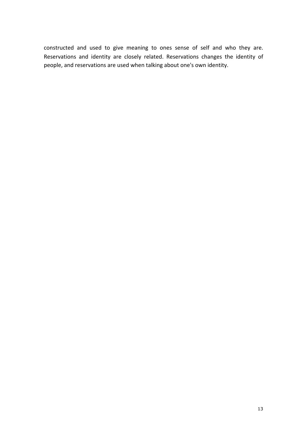constructed and used to give meaning to ones sense of self and who they are. Reservations and identity are closely related. Reservations changes the identity of people, and reservations are used when talking about one's own identity.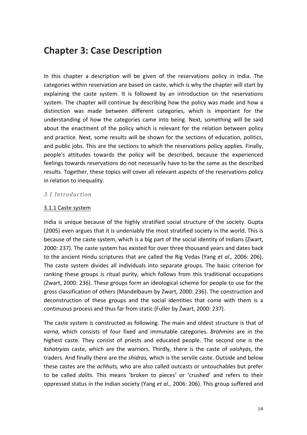## **Chapter 3: Case Description**

In this chapter a description will be given of the reservations policy in India. The categories within reservation are based on caste, which is why the chapter will start by explaining the caste system. It is followed by an introduction on the reservations system. The chapter will continue by describing how the policy was made and how a distinction was made between different categories, which is important for the understanding of how the categories came into being. Next, something will be said about the enactment of the policy which is relevant for the relation between policy and practice. Next, some results will be shown for the sections of education, politics, and public jobs. This are the sections to which the reservations policy applies. Finally, people's attitudes towards the policy will be described, because the experienced feelings towards reservations do not necessarily have to be the same as the described results. Together, these topics will cover all relevant aspects of the reservations policy in relation to inequality.

#### *3.1 Introduction*

#### 3.1.1 Caste system

India is unique because of the highly stratified social structure of the society. Gupta (2005) even argues that it is undeniably the most stratified society in the world. This is because of the caste system, which is a big part of the social identity of Indians (Zwart, 2000: 237). The caste system has existed for over three thousand years and dates back to the ancient Hindu scriptures that are called the Rig Vedas (Yang et al., 2006: 206). The caste system divides all individuals into separate groups. The basic criterion for ranking these groups is ritual purity, which follows from this traditional occupations (Zwart, 2000: 236). These groups form an ideological scheme for people to use for the gross classification of others (Mandelbaum by Zwart, 2000: 236). The construction and deconstruction of these groups and the social identities that come with them is a continuous process and thus far from static (Fuller by Zwart, 2000: 237).

The caste system is constructed as following. The main and oldest structure is that of varna, which consists of four fixed and immutable categories. *Brahmins* are in the highest caste. They consist of priests and educated people. The second one is the *kshatryias* caste, which are the warriors. Thirdly, there is the caste of *vaishyas*, the traders. And finally there are the *shidras*, which is the servile caste. Outside and below these castes are the *achhuts*, who are also called outcasts or untouchables but prefer to be called *dalits*. This means 'broken to pieces' or 'crushed' and refers to their oppressed status in the Indian society (Yang et al., 2006: 206). This group suffered and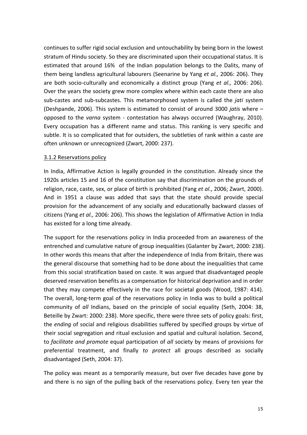continues to suffer rigid social exclusion and untouchability by being born in the lowest stratum of Hindu society. So they are discriminated upon their occupational status. It is estimated that around 16% of the Indian population belongs to the Dalits, many of them being landless agricultural labourers (Seenarine by Yang *et al.,* 2006: 206). They are both socio-culturally and economically a distinct group (Yang *et al.,* 2006: 206). Over the years the society grew more complex where within each caste there are also sub-castes and sub-subcastes. This metamorphosed system is called the *jati* system (Deshpande, 2006). This system is estimated to consist of around 3000 *jatis* where – opposed to the *varna* system - contestation has always occurred (Waughray, 2010). Every occupation has a different name and status. This ranking is very specific and subtle. It is so complicated that for outsiders, the subtleties of rank within a caste are often unknown or unrecognized (Zwart, 2000: 237).

#### 3.1.2 Reservations policy

In India, Affirmative Action is legally grounded in the constitution. Already since the 1920s articles 15 and 16 of the constitution say that discrimination on the grounds of religion, race, caste, sex, or place of birth is prohibited (Yang et al., 2006; Zwart, 2000). And in 1951 a clause was added that says that the state should provide special provision for the advancement of any socially and educationally backward classes of citizens (Yang et al., 2006: 206). This shows the legislation of Affirmative Action in India has existed for a long time already.

The support for the reservations policy in India proceeded from an awareness of the entrenched and cumulative nature of group inequalities (Galanter by Zwart, 2000: 238). In other words this means that after the independence of India from Britain, there was the general discourse that something had to be done about the inequalities that came from this social stratification based on caste. It was argued that disadvantaged people deserved reservation benefits as a compensation for historical deprivation and in order that they may compete effectively in the race for societal goods (Wood, 1987: 414). The overall, long-term goal of the reservations policy in India was to build a political community of all Indians, based on the principle of social equality (Seth, 2004: 38, Beteille by Zwart: 2000: 238). More specific, there were three sets of policy goals: first, the *ending* of social and religious disabilities suffered by specified groups by virtue of their social segregation and ritual exclusion and spatial and cultural isolation. Second, to *facilitate and promote* equal participation of *all* society by means of provisions for preferential treatment, and finally to protect all groups described as socially disadvantaged (Seth, 2004: 37).

The policy was meant as a temporarily measure, but over five decades have gone by and there is no sign of the pulling back of the reservations policy. Every ten year the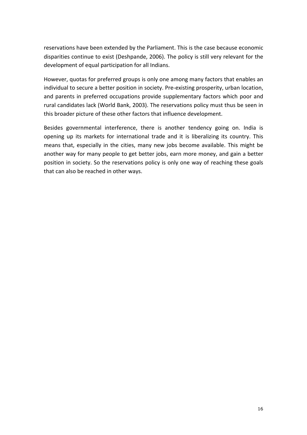reservations have been extended by the Parliament. This is the case because economic disparities continue to exist (Deshpande, 2006). The policy is still very relevant for the development of equal participation for all Indians.

However, quotas for preferred groups is only one among many factors that enables an individual to secure a better position in society. Pre-existing prosperity, urban location, and parents in preferred occupations provide supplementary factors which poor and rural candidates lack (World Bank, 2003). The reservations policy must thus be seen in this broader picture of these other factors that influence development.

Besides governmental interference, there is another tendency going on. India is opening up its markets for international trade and it is liberalizing its country. This means that, especially in the cities, many new jobs become available. This might be another way for many people to get better jobs, earn more money, and gain a better position in society. So the reservations policy is only one way of reaching these goals that can also be reached in other ways.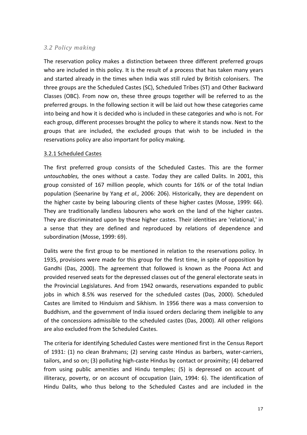#### *3.2 Policy making*

The reservation policy makes a distinction between three different preferred groups who are included in this policy. It is the result of a process that has taken many years and started already in the times when India was still ruled by British colonisers. The three groups are the Scheduled Castes (SC), Scheduled Tribes (ST) and Other Backward Classes (OBC). From now on, these three groups together will be referred to as the preferred groups. In the following section it will be laid out how these categories came into being and how it is decided who is included in these categories and who is not. For each group, different processes brought the policy to where it stands now. Next to the groups that are included, the excluded groups that wish to be included in the reservations policy are also important for policy making.

#### 3.2.1 Scheduled Castes

The first preferred group consists of the Scheduled Castes. This are the former *untouchables,* the ones without a caste. Today they are called Dalits. In 2001, this group consisted of 167 million people, which counts for 16% or of the total Indian population (Seenarine by Yang *et al.,* 2006: 206). Historically, they are dependent on the higher caste by being labouring clients of these higher castes (Mosse, 1999: 66). They are traditionally landless labourers who work on the land of the higher castes. They are discriminated upon by these higher castes. Their identities are 'relational,' in a sense that they are defined and reproduced by relations of dependence and subordination (Mosse, 1999: 69).

Dalits were the first group to be mentioned in relation to the reservations policy. In 1935, provisions were made for this group for the first time, in spite of opposition by Gandhi (Das, 2000). The agreement that followed is known as the Poona Act and provided reserved seats for the depressed classes out of the general electorate seats in the Provincial Legislatures. And from 1942 onwards, reservations expanded to public jobs in which 8.5% was reserved for the scheduled castes (Das, 2000). Scheduled Castes are limited to Hinduism and Sikhism. In 1956 there was a mass conversion to Buddhism, and the government of India issued orders declaring them ineligible to any of the concessions admissible to the scheduled castes (Das, 2000). All other religions are also excluded from the Scheduled Castes.

The criteria for identifying Scheduled Castes were mentioned first in the Census Report of 1931: (1) no clean Brahmans; (2) serving caste Hindus as barbers, water-carriers, tailors, and so on; (3) polluting high-caste Hindus by contact or proximity; (4) debarred from using public amenities and Hindu temples; (5) is depressed on account of illiteracy, poverty, or on account of occupation (Jain, 1994: 6). The identification of Hindu Dalits, who thus belong to the Scheduled Castes and are included in the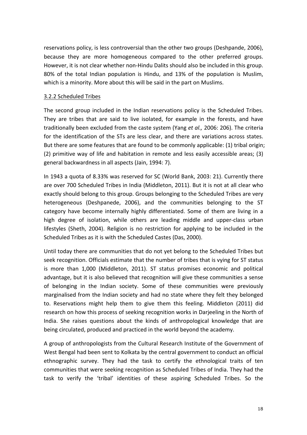reservations policy, is less controversial than the other two groups (Deshpande, 2006), because they are more homogeneous compared to the other preferred groups. However, it is not clear whether non-Hindu Dalits should also be included in this group. 80% of the total Indian population is Hindu, and 13% of the population is Muslim, which is a minority. More about this will be said in the part on Muslims.

#### 3.2.2 Scheduled Tribes

The second group included in the Indian reservations policy is the Scheduled Tribes. They are tribes that are said to live isolated, for example in the forests, and have traditionally been excluded from the caste system (Yang et al., 2006: 206). The criteria for the identification of the STs are less clear, and there are variations across states. But there are some features that are found to be commonly applicable: (1) tribal origin; (2) primitive way of life and habitation in remote and less easily accessible areas;  $(3)$ general backwardness in all aspects (Jain, 1994: 7).

In 1943 a quota of 8.33% was reserved for SC (World Bank, 2003: 21). Currently there are over 700 Scheduled Tribes in India (Middleton, 2011). But it is not at all clear who exactly should belong to this group. Groups belonging to the Scheduled Tribes are very heterogeneous (Deshpanede, 2006), and the communities belonging to the ST category have become internally highly differentiated. Some of them are living in a high degree of isolation, while others are leading middle and upper-class urban lifestyles (Sheth, 2004). Religion is no restriction for applying to be included in the Scheduled Tribes as it is with the Scheduled Castes (Das, 2000).

Until today there are communities that do not yet belong to the Scheduled Tribes but seek recognition. Officials estimate that the number of tribes that is vying for ST status is more than 1,000 (Middleton, 2011). ST status promises economic and political advantage, but it is also believed that recognition will give these communities a sense of belonging in the Indian society. Some of these communities were previously marginalised from the Indian society and had no state where they felt they belonged to. Reservations might help them to give them this feeling. Middleton (2011) did research on how this process of seeking recognition works in Darjeeling in the North of India. She raises questions about the kinds of anthropological knowledge that are being circulated, produced and practiced in the world beyond the academy.

A group of anthropologists from the Cultural Research Institute of the Government of West Bengal had been sent to Kolkata by the central government to conduct an official ethnographic survey. They had the task to certify the ethnological traits of ten communities that were seeking recognition as Scheduled Tribes of India. They had the task to verify the 'tribal' identities of these aspiring Scheduled Tribes. So the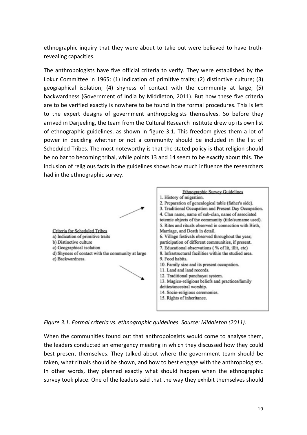ethnographic inquiry that they were about to take out were believed to have truthrevealing capacities.

The anthropologists have five official criteria to verify. They were established by the Lokur Committee in 1965: (1) Indication of primitive traits; (2) distinctive culture; (3) geographical isolation;  $(4)$  shyness of contact with the community at large;  $(5)$ backwardness (Government of India by Middleton, 2011). But how these five criteria are to be verified exactly is nowhere to be found in the formal procedures. This is left to the expert designs of government anthropologists themselves. So before they arrived in Darjeeling, the team from the Cultural Research Institute drew up its own list of ethnographic guidelines, as shown in figure 3.1. This freedom gives them a lot of power in deciding whether or not a community should be included in the list of Scheduled Tribes. The most noteworthy is that the stated policy is that religion should be no bar to becoming tribal, while points 13 and 14 seem to be exactly about this. The inclusion of religious facts in the guidelines shows how much influence the researchers had in the ethnographic survey.



Figure 3.1. Formal criteria vs. ethnographic quidelines. Source: Middleton (2011).

When the communities found out that anthropologists would come to analyse them, the leaders conducted an emergency meeting in which they discussed how they could best present themselves. They talked about where the government team should be taken, what rituals should be shown, and how to best engage with the anthropologists. In other words, they planned exactly what should happen when the ethnographic survey took place. One of the leaders said that the way they exhibit themselves should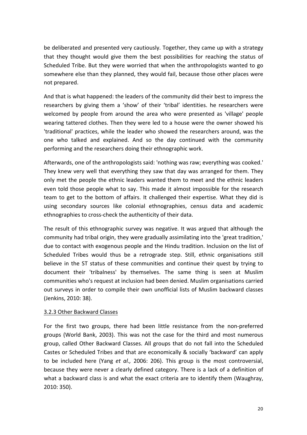be deliberated and presented very cautiously. Together, they came up with a strategy that they thought would give them the best possibilities for reaching the status of Scheduled Tribe. But they were worried that when the anthropologists wanted to go somewhere else than they planned, they would fail, because those other places were not prepared.

And that is what happened: the leaders of the community did their best to impress the researchers by giving them a 'show' of their 'tribal' identities. he researchers were welcomed by people from around the area who were presented as 'village' people wearing tattered clothes. Then they were led to a house were the owner showed his 'traditional' practices, while the leader who showed the researchers around, was the one who talked and explained. And so the day continued with the community performing and the researchers doing their ethnographic work.

Afterwards, one of the anthropologists said: 'nothing was raw; everything was cooked.' They knew very well that everything they saw that day was arranged for them. They only met the people the ethnic leaders wanted them to meet and the ethnic leaders even told those people what to say. This made it almost impossible for the research team to get to the bottom of affairs. It challenged their expertise. What they did is using secondary sources like colonial ethnographies, census data and academic ethnographies to cross-check the authenticity of their data.

The result of this ethnographic survey was negative. It was argued that although the community had tribal origin, they were gradually assimilating into the 'great tradition,' due to contact with exogenous people and the Hindu tradition. Inclusion on the list of Scheduled Tribes would thus be a retrograde step. Still, ethnic organisations still believe in the ST status of these communities and continue their quest by trying to document their 'tribalness' by themselves. The same thing is seen at Muslim communities who's request at inclusion had been denied. Muslim organisations carried out surveys in order to compile their own unofficial lists of Muslim backward classes (Jenkins, 2010: 38).

#### 3.2.3 Other Backward Classes

For the first two groups, there had been little resistance from the non-preferred groups (World Bank, 2003). This was not the case for the third and most numerous group, called Other Backward Classes. All groups that do not fall into the Scheduled Castes or Scheduled Tribes and that are economically & socially 'backward' can apply to be included here (Yang *et al.*, 2006: 206). This group is the most controversial, because they were never a clearly defined category. There is a lack of a definition of what a backward class is and what the exact criteria are to identify them (Waughray, 2010: 350).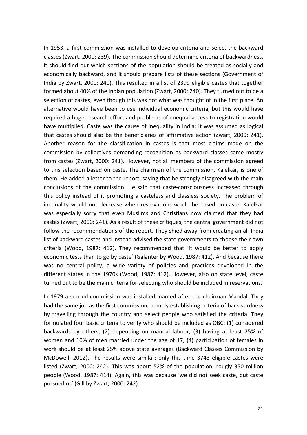In 1953, a first commission was installed to develop criteria and select the backward classes (Zwart, 2000: 239). The commission should determine criteria of backwardness, it should find out which sections of the population should be treated as socially and economically backward, and it should prepare lists of these sections (Government of India by Zwart, 2000: 240). This resulted in a list of 2399 eligible castes that together formed about 40% of the Indian population (Zwart, 2000: 240). They turned out to be a selection of castes, even though this was not what was thought of in the first place. An alternative would have been to use individual economic criteria, but this would have required a huge research effort and problems of unequal access to registration would have multiplied. Caste was the cause of inequality in India; it was assumed as logical that castes should also be the beneficiaries of affirmative action (Zwart, 2000: 241). Another reason for the classification in castes is that most claims made on the commission by collectives demanding recognition as backward classes came mostly from castes (Zwart, 2000: 241). However, not all members of the commission agreed to this selection based on caste. The chairman of the commission, Kalelkar, is one of them. He added a letter to the report, saying that he strongly disagreed with the main conclusions of the commission. He said that caste-consciousness increased through this policy instead of it promoting a casteless and classless society. The problem of inequality would not decrease when reservations would be based on caste. Kalelkar was especially sorry that even Muslims and Christians now claimed that they had castes (Zwart, 2000: 241). As a result of these critiques, the central government did not follow the recommendations of the report. They shied away from creating an all-India list of backward castes and instead advised the state governments to choose their own criteria (Wood, 1987: 412). They recommended that 'it would be better to apply economic tests than to go by caste' (Galanter by Wood, 1987: 412). And because there was no central policy, a wide variety of policies and practices developed in the different states in the 1970s (Wood, 1987: 412). However, also on state level, caste turned out to be the main criteria for selecting who should be included in reservations.

In 1979 a second commission was installed, named after the chairman Mandal. They had the same job as the first commission, namely establishing criteria of backwardness by travelling through the country and select people who satisfied the criteria. They formulated four basic criteria to verify who should be included as OBC: (1) considered backwards by others; (2) depending on manual labour; (3) having at least 25% of women and 10% of men married under the age of 17; (4) participation of females in work should be at least 25% above state averages (Backward Classes Commission by McDowell, 2012). The results were similar; only this time 3743 eligible castes were listed (Zwart, 2000: 242). This was about 52% of the population, rougly 350 million people (Wood, 1987: 414). Again, this was because 'we did not seek caste, but caste pursued us' (Gill by Zwart, 2000: 242).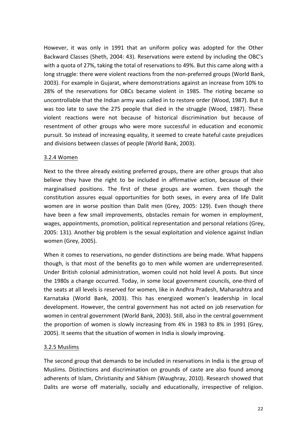However, it was only in 1991 that an uniform policy was adopted for the Other Backward Classes (Sheth, 2004: 43). Reservations were extend by including the OBC's with a quota of 27%, taking the total of reservations to 49%. But this came along with a long struggle: there were violent reactions from the non-preferred groups (World Bank, 2003). For example in Gujarat, where demonstrations against an increase from 10% to 28% of the reservations for OBCs became violent in 1985. The rioting became so uncontrollable that the Indian army was called in to restore order (Wood, 1987). But it was too late to save the 275 people that died in the struggle (Wood, 1987). These violent reactions were not because of historical discrimination but because of resentment of other groups who were more successful in education and economic pursuit. So instead of increasing equality, it seemed to create hateful caste prejudices and divisions between classes of people (World Bank, 2003).

#### 3.2.4 Women

Next to the three already existing preferred groups, there are other groups that also believe they have the right to be included in affirmative action, because of their marginalised positions. The first of these groups are women. Even though the constitution assures equal opportunities for both sexes, in every area of life Dalit women are in worse position than Dalit men (Grey, 2005: 129). Even though there have been a few small improvements, obstacles remain for women in employment, wages, appointments, promotion, political representation and personal relations (Grey, 2005: 131). Another big problem is the sexual exploitation and violence against Indian women (Grey, 2005).

When it comes to reservations, no gender distinctions are being made. What happens though, is that most of the benefits go to men while women are underrepresented. Under British colonial administration, women could not hold level A posts. But since the 1980s a change occurred. Today, in some local government councils, one-third of the seats at all levels is reserved for women, like in Andhra Pradesh, Maharashtra and Karnataka (World Bank, 2003). This has energized women's leadership in local development. However, the central government has not acted on job reservation for women in central government (World Bank, 2003). Still, also in the central government the proportion of women is slowly increasing from 4% in 1983 to 8% in 1991 (Grey, 2005). It seems that the situation of women in India is slowly improving.

#### 3.2.5 Muslims

The second group that demands to be included in reservations in India is the group of Muslims. Distinctions and discrimination on grounds of caste are also found among adherents of Islam, Christianity and Sikhism (Waughray, 2010). Research showed that Dalits are worse off materially, socially and educationally, irrespective of religion.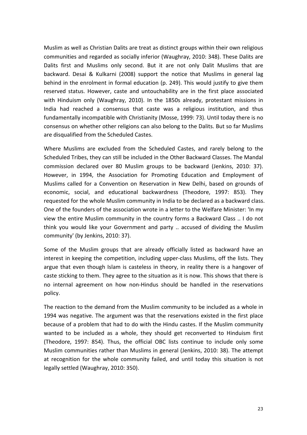Muslim as well as Christian Dalits are treat as distinct groups within their own religious communities and regarded as socially inferior (Waughray, 2010: 348). These Dalits are Dalits first and Muslims only second. But it are not only Dalit Muslims that are backward. Desai & Kulkarni (2008) support the notice that Muslims in general lag behind in the enrolment in formal education (p. 249). This would justify to give them reserved status. However, caste and untouchability are in the first place associated with Hinduism only (Waughray, 2010). In the 1850s already, protestant missions in India had reached a consensus that caste was a religious institution, and thus fundamentally incompatible with Christianity (Mosse, 1999: 73). Until today there is no consensus on whether other religions can also belong to the Dalits. But so far Muslims are disqualified from the Scheduled Castes.

Where Muslims are excluded from the Scheduled Castes, and rarely belong to the Scheduled Tribes, they can still be included in the Other Backward Classes. The Mandal commission declared over 80 Muslim groups to be backward (Jenkins, 2010: 37). However, in 1994, the Association for Promoting Education and Employment of Muslims called for a Convention on Reservation in New Delhi, based on grounds of economic, social, and educational backwardness (Theodore, 1997: 853). They requested for the whole Muslim community in India to be declared as a backward class. One of the founders of the association wrote in a letter to the Welfare Minister: 'In my view the entire Muslim community in the country forms a Backward Class .. I do not think you would like your Government and party .. accused of dividing the Muslim community' (by Jenkins, 2010: 37).

Some of the Muslim groups that are already officially listed as backward have an interest in keeping the competition, including upper-class Muslims, off the lists. They argue that even though Islam is casteless in theory, in reality there is a hangover of caste sticking to them. They agree to the situation as it is now. This shows that there is no internal agreement on how non-Hindus should be handled in the reservations policy. 

The reaction to the demand from the Muslim community to be included as a whole in 1994 was negative. The argument was that the reservations existed in the first place because of a problem that had to do with the Hindu castes. If the Muslim community wanted to be included as a whole, they should get reconverted to Hinduism first (Theodore, 1997: 854). Thus, the official OBC lists continue to include only some Muslim communities rather than Muslims in general (Jenkins, 2010: 38). The attempt at recognition for the whole community failed, and until today this situation is not legally settled (Waughray, 2010: 350).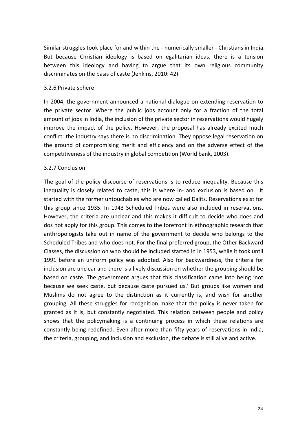Similar struggles took place for and within the - numerically smaller - Christians in India. But because Christian ideology is based on egalitarian ideas, there is a tension between this ideology and having to argue that its own religious community discriminates on the basis of caste (Jenkins, 2010: 42).

#### 3.2.6 Private sphere

In 2004, the government announced a national dialogue on extending reservation to the private sector. Where the public jobs account only for a fraction of the total amount of jobs in India, the inclusion of the private sector in reservations would hugely improve the impact of the policy. However, the proposal has already excited much conflict: the industry says there is no discrimination. They oppose legal reservation on the ground of compromising merit and efficiency and on the adverse effect of the competitiveness of the industry in global competition (World bank, 2003).

#### 3.2.7 Conclusion

The goal of the policy discourse of reservations is to reduce inequality. Because this inequality is closely related to caste, this is where in- and exclusion is based on. It started with the former untouchables who are now called Dalits. Reservations exist for this group since 1935. In 1943 Scheduled Tribes were also included in reservations. However, the criteria are unclear and this makes it difficult to decide who does and dos not apply for this group. This comes to the forefront in ethnographic research that anthropologists take out in name of the government to decide who belongs to the Scheduled Tribes and who does not. For the final preferred group, the Other Backward Classes, the discussion on who should be included started in in 1953, while it took until 1991 before an uniform policy was adopted. Also for backwardness, the criteria for inclusion are unclear and there is a lively discussion on whether the grouping should be based on caste. The government argues that this classification came into being 'not because we seek caste, but because caste pursued us.' But groups like women and Muslims do not agree to the distinction as it currently is, and wish for another grouping. All these struggles for recognition make that the policy is never taken for granted as it is, but constantly negotiated. This relation between people and policy shows that the policymaking is a continuing process in which these relations are constantly being redefined. Even after more than fifty years of reservations in India, the criteria, grouping, and inclusion and exclusion, the debate is still alive and active.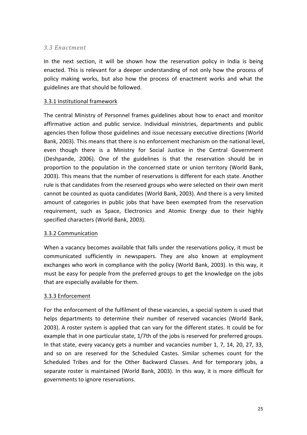#### *3.3 Enactment*

In the next section, it will be shown how the reservation policy in India is being enacted. This is relevant for a deeper understanding of not only how the process of policy making works, but also how the process of enactment works and what the guidelines are that should be followed.

#### 3.3.1 Institutional framework

The central Ministry of Personnel frames guidelines about how to enact and monitor affirmative action and public service. Individual ministries, departments and public agencies then follow those guidelines and issue necessary executive directions (World Bank, 2003). This means that there is no enforcement mechanism on the national level, even though there is a Ministry for Social Justice in the Central Government (Deshpande, 2006). One of the guidelines is that the reservation should be in proportion to the population in the concerned state or union territory (World Bank, 2003). This means that the number of reservations is different for each state. Another rule is that candidates from the reserved groups who were selected on their own merit cannot be counted as quota candidates (World Bank, 2003). And there is a very limited amount of categories in public jobs that have been exempted from the reservation requirement, such as Space, Electronics and Atomic Energy due to their highly specified characters (World Bank, 2003).

#### 3.3.2 Communication

When a vacancy becomes available that falls under the reservations policy, it must be communicated sufficiently in newspapers. They are also known at employment exchanges who work in compliance with the policy (World Bank, 2003). In this way, it must be easy for people from the preferred groups to get the knowledge on the jobs that are especially available for them.

#### 3.3.3 Enforcement

For the enforcement of the fulfilment of these vacancies, a special system is used that helps departments to determine their number of reserved vacancies (World Bank, 2003). A roster system is applied that can vary for the different states. It could be for example that in one particular state, 1/7th of the jobs is reserved for preferred groups. In that state, every vacancy gets a number and vacancies number 1, 7, 14, 20, 27, 33, and so on are reserved for the Scheduled Castes. Similar schemes count for the Scheduled Tribes and for the Other Backward Classes. And for temporary jobs, a separate roster is maintained (World Bank, 2003). In this way, it is more difficult for governments to ignore reservations.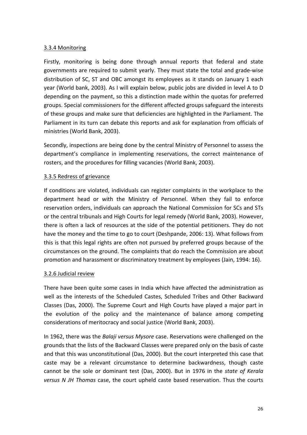#### 3.3.4 Monitoring

Firstly, monitoring is being done through annual reports that federal and state governments are required to submit yearly. They must state the total and grade-wise distribution of SC, ST and OBC amongst its employees as it stands on January 1 each year (World bank, 2003). As I will explain below, public jobs are divided in level A to D depending on the payment, so this a distinction made within the quotas for preferred groups. Special commissioners for the different affected groups safeguard the interests of these groups and make sure that deficiencies are highlighted in the Parliament. The Parliament in its turn can debate this reports and ask for explanation from officials of ministries (World Bank, 2003).

Secondly, inspections are being done by the central Ministry of Personnel to assess the department's compliance in implementing reservations, the correct maintenance of rosters, and the procedures for filling vacancies (World Bank, 2003).

#### 3.3.5 Redress of grievance

If conditions are violated, individuals can register complaints in the workplace to the department head or with the Ministry of Personnel. When they fail to enforce reservation orders, individuals can approach the National Commission for SCs and STs or the central tribunals and High Courts for legal remedy (World Bank, 2003). However, there is often a lack of resources at the side of the potential petitioners. They do not have the money and the time to go to court (Deshpande, 2006: 13). What follows from this is that this legal rights are often not pursued by preferred groups because of the circumstances on the ground. The complaints that do reach the Commission are about promotion and harassment or discriminatory treatment by employees (Jain, 1994: 16).

#### 3.2.6 Judicial review

There have been quite some cases in India which have affected the administration as well as the interests of the Scheduled Castes, Scheduled Tribes and Other Backward Classes (Das, 2000). The Supreme Court and High Courts have played a major part in the evolution of the policy and the maintenance of balance among competing considerations of meritocracy and social justice (World Bank, 2003).

In 1962, there was the *Balaji versus Mysore* case. Reservations were challenged on the grounds that the lists of the Backward Classes were prepared only on the basis of caste and that this was unconstitutional (Das, 2000). But the court interpreted this case that caste may be a relevant circumstance to determine backwardness, though caste cannot be the sole or dominant test (Das, 2000). But in 1976 in the state of Kerala *versus N JH Thomas* case, the court upheld caste based reservation. Thus the courts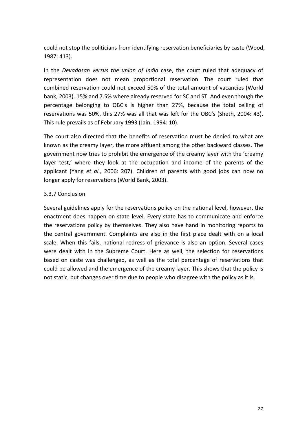could not stop the politicians from identifying reservation beneficiaries by caste (Wood, 1987: 413).

In the *Devadasan versus* the *union of India* case, the court ruled that adequacy of representation does not mean proportional reservation. The court ruled that combined reservation could not exceed 50% of the total amount of vacancies (World bank, 2003). 15% and 7.5% where already reserved for SC and ST. And even though the percentage belonging to OBC's is higher than 27%, because the total ceiling of reservations was 50%, this 27% was all that was left for the OBC's (Sheth, 2004: 43). This rule prevails as of February 1993 (Jain, 1994: 10).

The court also directed that the benefits of reservation must be denied to what are known as the creamy layer, the more affluent among the other backward classes. The government now tries to prohibit the emergence of the creamy layer with the 'creamy layer test,' where they look at the occupation and income of the parents of the applicant (Yang *et al.,* 2006: 207). Children of parents with good jobs can now no longer apply for reservations (World Bank, 2003).

#### 3.3.7 Conclusion

Several guidelines apply for the reservations policy on the national level, however, the enactment does happen on state level. Every state has to communicate and enforce the reservations policy by themselves. They also have hand in monitoring reports to the central government. Complaints are also in the first place dealt with on a local scale. When this fails, national redress of grievance is also an option. Several cases were dealt with in the Supreme Court. Here as well, the selection for reservations based on caste was challenged, as well as the total percentage of reservations that could be allowed and the emergence of the creamy layer. This shows that the policy is not static, but changes over time due to people who disagree with the policy as it is.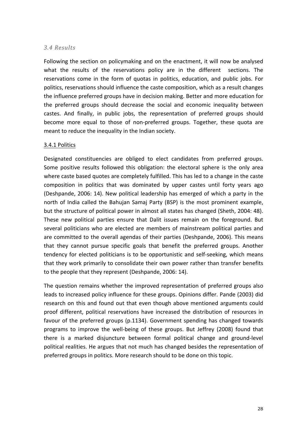#### *3.4 Results*

Following the section on policymaking and on the enactment, it will now be analysed what the results of the reservations policy are in the different sections. The reservations come in the form of quotas in politics, education, and public jobs. For politics, reservations should influence the caste composition, which as a result changes the influence preferred groups have in decision making. Better and more education for the preferred groups should decrease the social and economic inequality between castes. And finally, in public jobs, the representation of preferred groups should become more equal to those of non-preferred groups. Together, these quota are meant to reduce the inequality in the Indian society.

#### 3.4.1 Politics

Designated constituencies are obliged to elect candidates from preferred groups. Some positive results followed this obligation: the electoral sphere is the only area where caste based quotes are completely fulfilled. This has led to a change in the caste composition in politics that was dominated by upper castes until forty years ago (Deshpande, 2006: 14). New political leadership has emerged of which a party in the north of India called the Bahujan Samaj Party (BSP) is the most prominent example, but the structure of political power in almost all states has changed (Sheth, 2004: 48). These new political parties ensure that Dalit issues remain on the foreground. But several politicians who are elected are members of mainstream political parties and are committed to the overall agendas of their parties (Deshpande, 2006). This means that they cannot pursue specific goals that benefit the preferred groups. Another tendency for elected politicians is to be opportunistic and self-seeking, which means that they work primarily to consolidate their own power rather than transfer benefits to the people that they represent (Deshpande, 2006: 14).

The question remains whether the improved representation of preferred groups also leads to increased policy influence for these groups. Opinions differ. Pande (2003) did research on this and found out that even though above mentioned arguments could proof different, political reservations have increased the distribution of resources in favour of the preferred groups (p.1134). Government spending has changed towards programs to improve the well-being of these groups. But Jeffrey (2008) found that there is a marked disjuncture between formal political change and ground-level political realities. He argues that not much has changed besides the representation of preferred groups in politics. More research should to be done on this topic.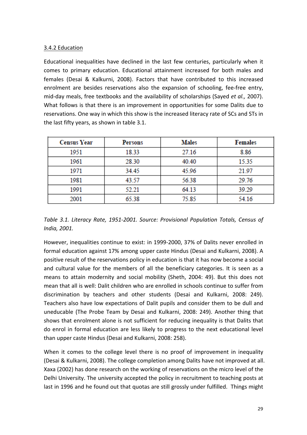#### 3.4.2 Education

Educational inequalities have declined in the last few centuries, particularly when it comes to primary education. Educational attainment increased for both males and females (Desai & Kalkurni, 2008). Factors that have contributed to this increased enrolment are besides reservations also the expansion of schooling, fee-free entry, mid-day meals, free textbooks and the availability of scholarships (Sayed *et al.,* 2007). What follows is that there is an improvement in opportunities for some Dalits due to reservations. One way in which this show is the increased literacy rate of SCs and STs in the last fifty years, as shown in table 3.1.

| <b>Census Year</b> | <b>Persons</b> | <b>Males</b> | <b>Females</b> |
|--------------------|----------------|--------------|----------------|
| 1951               | 18.33          | 27.16        | 8.86           |
| 1961               | 28.30          | 40.40        | 15.35          |
| 1971               | 34.45          | 45.96        | 21.97          |
| 1981               | 43.57          | 56.38        | 29.76          |
| 1991               | 52.21          | 64.13        | 39.29          |
| 2001               | 65.38          | 75.85        | 54.16          |

Table 3.1. Literacy Rate, 1951-2001. Source: Provisional Population Totals, Census of *India, 2001.* 

However, inequalities continue to exist: in 1999-2000, 37% of Dalits never enrolled in formal education against 17% among upper caste Hindus (Desai and Kulkarni, 2008). A positive result of the reservations policy in education is that it has now become a social and cultural value for the members of all the beneficiary categories. It is seen as a means to attain modernity and social mobility (Sheth, 2004: 49). But this does not mean that all is well: Dalit children who are enrolled in schools continue to suffer from discrimination by teachers and other students (Desai and Kulkarni, 2008: 249). Teachers also have low expectations of Dalit pupils and consider them to be dull and uneducable (The Probe Team by Desai and Kulkarni, 2008: 249). Another thing that shows that enrolment alone is not sufficient for reducing inequality is that Dalits that do enrol in formal education are less likely to progress to the next educational level than upper caste Hindus (Desai and Kulkarni, 2008: 258).

When it comes to the college level there is no proof of improvement in inequality (Desai & Kulkarni, 2008). The college completion among Dalits have not improved at all. Xaxa (2002) has done research on the working of reservations on the micro level of the Delhi University. The university accepted the policy in recruitment to teaching posts at last in 1996 and he found out that quotas are still grossly under fulfilled. Things might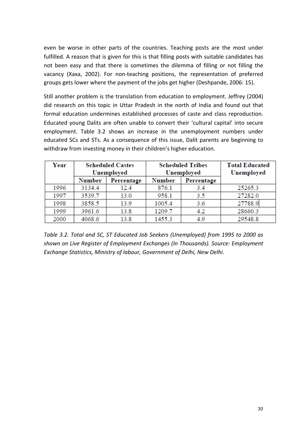even be worse in other parts of the countries. Teaching posts are the most under fulfilled. A reason that is given for this is that filling posts with suitable candidates has not been easy and that there is sometimes the dilemma of filling or not filling the vacancy (Xaxa, 2002). For non-teaching positions, the representation of preferred groups gets lower where the payment of the jobs get higher (Deshpande, 2006: 15).

Still another problem is the translation from education to employment. Jeffrey (2004) did research on this topic in Uttar Pradesh in the north of India and found out that formal education undermines established processes of caste and class reproduction. Educated young Dalits are often unable to convert their 'cultural capital' into secure employment. Table 3.2 shows an increase in the unemployment numbers under educated SCs and STs. As a consequence of this issue, Dalit parents are beginning to withdraw from investing money in their children's higher education.

| Year | <b>Scheduled Castes</b><br><b>Unemployed</b> |            | <b>Scheduled Tribes</b><br><b>Unemployed</b> |            | <b>Total Educated</b><br>Unemployed |
|------|----------------------------------------------|------------|----------------------------------------------|------------|-------------------------------------|
|      | <b>Number</b>                                | Percentage | <b>Number</b>                                | Percentage |                                     |
| 1996 | 3134.4                                       | 12.4       | 876.1                                        | 3.4        | 25265.3                             |
| 1997 | 3539.7                                       | 13.0       | 958.1                                        | 3.5        | 27282.0                             |
| 1998 | 3858.5                                       | 13.9       | 1005.4                                       | 3.6        | 27788.9                             |
| 1999 | 3961.6                                       | 13.8       | 1209.7                                       | 4.2        | 28660.3                             |
| 2000 | 4068.6                                       | 13.8       | 1455.3                                       | 4.9        | 29548.8                             |

Table 3.2. Total and SC, ST Educated Job Seekers (Unemployed) from 1995 to 2000 as shown on Live Register of Employment Exchanges (In Thousands). Source: Employment **Exchange Statistics, Ministry of labour, Government of Delhi, New Delhi.**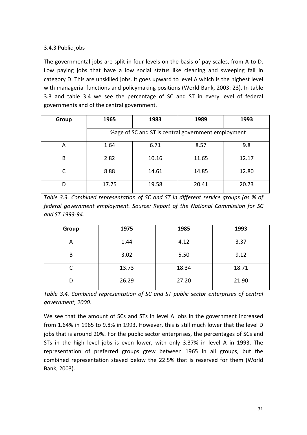#### 3.4.3 Public jobs

The governmental jobs are split in four levels on the basis of pay scales, from A to D. Low paying jobs that have a low social status like cleaning and sweeping fall in category D. This are unskilled jobs. It goes upward to level A which is the highest level with managerial functions and policymaking positions (World Bank, 2003: 23). In table 3.3 and table 3.4 we see the percentage of SC and ST in every level of federal governments and of the central government.

| Group | 1965                                               | 1983  | 1989  | 1993  |  |  |
|-------|----------------------------------------------------|-------|-------|-------|--|--|
|       | %age of SC and ST is central government employment |       |       |       |  |  |
| A     | 1.64                                               | 6.71  | 8.57  | 9.8   |  |  |
| B     | 2.82                                               | 10.16 | 11.65 | 12.17 |  |  |
|       | 8.88                                               | 14.61 | 14.85 | 12.80 |  |  |
| D     | 17.75                                              | 19.58 | 20.41 | 20.73 |  |  |

*Table 3.3. Combined representation of SC and ST in different service groups (as % of federal government employment. Source: Report of the National Commission for SC and ST 1993-94.*

| <b>Group</b> | 1975  | 1985  | 1993  |
|--------------|-------|-------|-------|
| A            | 1.44  | 4.12  | 3.37  |
| B            | 3.02  | 5.50  | 9.12  |
| ◠            | 13.73 | 18.34 | 18.71 |
| D            | 26.29 | 27.20 | 21.90 |

Table 3.4. Combined representation of SC and ST public sector enterprises of central *government, 2000.*

We see that the amount of SCs and STs in level A jobs in the government increased from 1.64% in 1965 to 9.8% in 1993. However, this is still much lower that the level D jobs that is around 20%. For the public sector enterprises, the percentages of SCs and STs in the high level jobs is even lower, with only 3.37% in level A in 1993. The representation of preferred groups grew between 1965 in all groups, but the combined representation stayed below the 22.5% that is reserved for them (World Bank, 2003).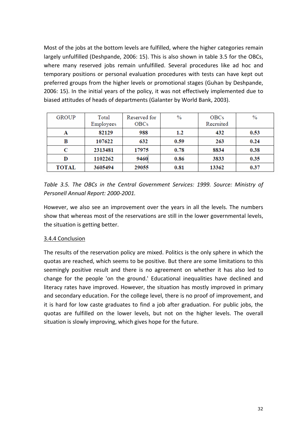Most of the jobs at the bottom levels are fulfilled, where the higher categories remain largely unfulfilled (Deshpande, 2006: 15). This is also shown in table 3.5 for the OBCs, where many reserved jobs remain unfulfilled. Several procedures like ad hoc and temporary positions or personal evaluation procedures with tests can have kept out preferred groups from the higher levels or promotional stages (Guhan by Deshpande, 2006: 15). In the initial years of the policy, it was not effectively implemented due to biased attitudes of heads of departments (Galanter by World Bank, 2003).

| <b>GROUP</b> | Total<br>Employees | Reserved for<br><b>OBCs</b> | $\%$ | <b>OBCs</b><br>Recruited | $\%$ |
|--------------|--------------------|-----------------------------|------|--------------------------|------|
| A            | 82129              | 988                         | 1.2  | 432                      | 0.53 |
| В            | 107622             | 632                         | 0.59 | 263                      | 0.24 |
| C            | 2313481            | 17975                       | 0.78 | 8834                     | 0.38 |
| D            | 1102262            | 9460                        | 0.86 | 3833                     | 0.35 |
| <b>TOTAL</b> | 3605494            | 29055                       | 0.81 | 13362                    | 0.37 |

Table 3.5. The OBCs in the Central Government Services: 1999. Source: Ministry of *Personell Annual Report: 2000-2001.*

However, we also see an improvement over the years in all the levels. The numbers show that whereas most of the reservations are still in the lower governmental levels, the situation is getting better.

#### 3.4.4 Conclusion

The results of the reservation policy are mixed. Politics is the only sphere in which the quotas are reached, which seems to be positive. But there are some limitations to this seemingly positive result and there is no agreement on whether it has also led to change for the people 'on the ground.' Educational inequalities have declined and literacy rates have improved. However, the situation has mostly improved in primary and secondary education. For the college level, there is no proof of improvement, and it is hard for low caste graduates to find a job after graduation. For public jobs, the quotas are fulfilled on the lower levels, but not on the higher levels. The overall situation is slowly improving, which gives hope for the future.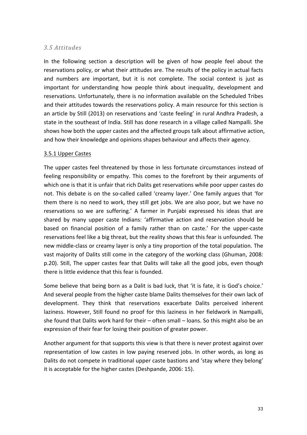#### *3.5 Attitudes*

In the following section a description will be given of how people feel about the reservations policy, or what their attitudes are. The results of the policy in actual facts and numbers are important, but it is not complete. The social context is just as important for understanding how people think about inequality, development and reservations. Unfortunately, there is no information available on the Scheduled Tribes and their attitudes towards the reservations policy. A main resource for this section is an article by Still (2013) on reservations and 'caste feeling' in rural Andhra Pradesh, a state in the southeast of India. Still has done research in a village called Nampalli. She shows how both the upper castes and the affected groups talk about affirmative action, and how their knowledge and opinions shapes behaviour and affects their agency.

#### 3.5.1 Upper Castes

The upper castes feel threatened by those in less fortunate circumstances instead of feeling responsibility or empathy. This comes to the forefront by their arguments of which one is that it is unfair that rich Dalits get reservations while poor upper castes do not. This debate is on the so-called called 'creamy layer.' One family argues that 'for them there is no need to work, they still get jobs. We are also poor, but we have no reservations so we are suffering.' A farmer in Punjabi expressed his ideas that are shared by many upper caste Indians: 'affirmative action and reservation should be based on financial position of a family rather than on caste.' For the upper-caste reservations feel like a big threat, but the reality shows that this fear is unfounded. The new middle-class or creamy layer is only a tiny proportion of the total population. The vast majority of Dalits still come in the category of the working class (Ghuman, 2008: p.20). Still, The upper castes fear that Dalits will take all the good jobs, even though there is little evidence that this fear is founded.

Some believe that being born as a Dalit is bad luck, that 'it is fate, it is God's choice.' And several people from the higher caste blame Dalits themselves for their own lack of development. They think that reservations exacerbate Dalits perceived inherent laziness. However, Still found no proof for this laziness in her fieldwork in Nampalli, she found that Dalits work hard for their  $-$  often small  $-$  loans. So this might also be an expression of their fear for losing their position of greater power.

Another argument for that supports this view is that there is never protest against over representation of low castes in low paying reserved jobs. In other words, as long as Dalits do not compete in traditional upper caste bastions and 'stay where they belong' it is acceptable for the higher castes (Deshpande, 2006: 15).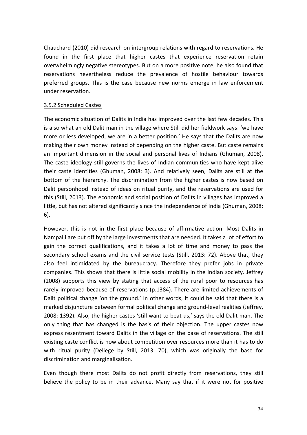Chauchard (2010) did research on intergroup relations with regard to reservations. He found in the first place that higher castes that experience reservation retain overwhelmingly negative stereotypes. But on a more positive note, he also found that reservations nevertheless reduce the prevalence of hostile behaviour towards preferred groups. This is the case because new norms emerge in law enforcement under reservation.

#### 3.5.2 Scheduled Castes

The economic situation of Dalits in India has improved over the last few decades. This is also what an old Dalit man in the village where Still did her fieldwork says: 'we have more or less developed, we are in a better position.' He says that the Dalits are now making their own money instead of depending on the higher caste. But caste remains an important dimension in the social and personal lives of Indians (Ghuman, 2008). The caste ideology still governs the lives of Indian communities who have kept alive their caste identities (Ghuman, 2008: 3). And relatively seen, Dalits are still at the bottom of the hierarchy. The discrimination from the higher castes is now based on Dalit personhood instead of ideas on ritual purity, and the reservations are used for this (Still, 2013). The economic and social position of Dalits in villages has improved a little, but has not altered significantly since the independence of India (Ghuman, 2008: 6). 

However, this is not in the first place because of affirmative action. Most Dalits in Nampalli are put off by the large investments that are needed. It takes a lot of effort to gain the correct qualifications, and it takes a lot of time and money to pass the secondary school exams and the civil service tests (Still, 2013: 72). Above that, they also feel intimidated by the bureaucracy. Therefore they prefer jobs in private companies. This shows that there is little social mobility in the Indian society. Jeffrey (2008) supports this view by stating that access of the rural poor to resources has rarely improved because of reservations (p.1384). There are limited achievements of Dalit political change 'on the ground.' In other words, it could be said that there is a marked disjuncture between formal political change and ground-level realities (Jeffrey, 2008: 1392). Also, the higher castes 'still want to beat us,' says the old Dalit man. The only thing that has changed is the basis of their objection. The upper castes now express resentment toward Dalits in the village on the base of reservations. The still existing caste conflict is now about competition over resources more than it has to do with ritual purity (Deliege by Still, 2013: 70), which was originally the base for discrimination and marginalisation.

Even though there most Dalits do not profit directly from reservations, they still believe the policy to be in their advance. Many say that if it were not for positive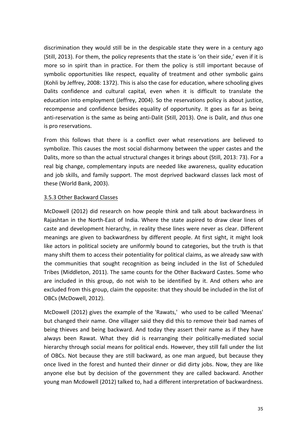discrimination they would still be in the despicable state they were in a century ago (Still, 2013). For them, the policy represents that the state is 'on their side,' even if it is more so in spirit than in practice. For them the policy is still important because of symbolic opportunities like respect, equality of treatment and other symbolic gains (Kohli by Jeffrey, 2008: 1372). This is also the case for education, where schooling gives Dalits confidence and cultural capital, even when it is difficult to translate the education into employment (Jeffrey, 2004). So the reservations policy is about justice, recompense and confidence besides equality of opportunity. It goes as far as being anti-reservation is the same as being anti-Dalit (Still, 2013). One is Dalit, and *thus* one is pro reservations.

From this follows that there is a conflict over what reservations are believed to symbolize. This causes the most social disharmony between the upper castes and the Dalits, more so than the actual structural changes it brings about (Still, 2013: 73). For a real big change, complementary inputs are needed like awareness, quality education and job skills, and family support. The most deprived backward classes lack most of these (World Bank, 2003).

#### 3.5.3 Other Backward Classes

McDowell (2012) did research on how people think and talk about backwardness in Rajashtan in the North-East of India. Where the state aspired to draw clear lines of caste and development hierarchy, in reality these lines were never as clear. Different meanings are given to backwardness by different people. At first sight, it might look like actors in political society are uniformly bound to categories, but the truth is that many shift them to access their potentiality for political claims, as we already saw with the communities that sought recognition as being included in the list of Scheduled Tribes (Middleton, 2011). The same counts for the Other Backward Castes. Some who are included in this group, do not wish to be identified by it. And others who are excluded from this group, claim the opposite: that they should be included in the list of OBCs (McDowell, 2012).

McDowell (2012) gives the example of the 'Rawats,' who used to be called 'Meenas' but changed their name. One villager said they did this to remove their bad names of being thieves and being backward. And today they assert their name as if they have always been Rawat. What they did is rearranging their politically-mediated social hierarchy through social means for political ends. However, they still fall under the list of OBCs. Not because they are still backward, as one man argued, but because they once lived in the forest and hunted their dinner or did dirty jobs. Now, they are like anyone else but by decision of the government they are called backward. Another young man Mcdowell (2012) talked to, had a different interpretation of backwardness.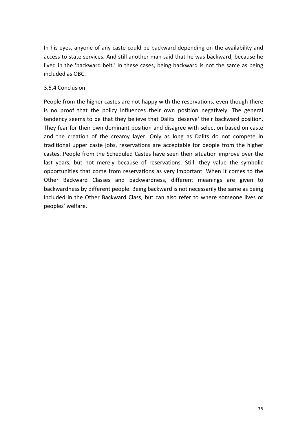In his eyes, anyone of any caste could be backward depending on the availability and access to state services. And still another man said that he was backward, because he lived in the 'backward belt.' In these cases, being backward is not the same as being included as OBC.

#### 3.5.4 Conclusion

People from the higher castes are not happy with the reservations, even though there is no proof that the policy influences their own position negatively. The general tendency seems to be that they believe that Dalits 'deserve' their backward position. They fear for their own dominant position and disagree with selection based on caste and the creation of the creamy layer. Only as long as Dalits do not compete in traditional upper caste jobs, reservations are acceptable for people from the higher castes. People from the Scheduled Castes have seen their situation improve over the last years, but not merely because of reservations. Still, they value the symbolic opportunities that come from reservations as very important. When it comes to the Other Backward Classes and backwardness, different meanings are given to backwardness by different people. Being backward is not necessarily the same as being included in the Other Backward Class, but can also refer to where someone lives or peoples' welfare.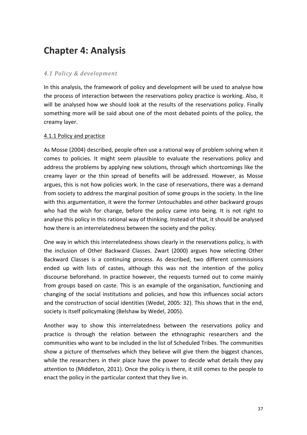# **Chapter 4: Analysis**

#### *4.1 Policy & development*

In this analysis, the framework of policy and development will be used to analyse how the process of interaction between the reservations policy practice is working. Also, it will be analysed how we should look at the results of the reservations policy. Finally something more will be said about one of the most debated points of the policy, the creamy layer.

#### 4.1.1 Policy and practice

As Mosse (2004) described, people often use a rational way of problem solving when it comes to policies. It might seem plausible to evaluate the reservations policy and address the problems by applying new solutions, through which shortcomings like the creamy layer or the thin spread of benefits will be addressed. However, as Mosse argues, this is not how policies work. In the case of reservations, there was a demand from society to address the marginal position of some groups in the society. In the line with this argumentation, it were the former Untouchables and other backward groups who had the wish for change, before the policy came into being. It is not right to analyse this policy in this rational way of thinking. Instead of that, it should be analysed how there is an interrelatedness between the society and the policy.

One way in which this interrelatedness shows clearly in the reservations policy, is with the inclusion of Other Backward Classes. Zwart (2000) argues how selecting Other Backward Classes is a continuing process. As described, two different commissions ended up with lists of castes, although this was not the intention of the policy discourse beforehand. In practice however, the requests turned out to come mainly from groups based on caste. This is an example of the organisation, functioning and changing of the social institutions and policies, and how this influences social actors and the construction of social identities (Wedel, 2005: 32). This shows that in the end, society is itself policymaking (Belshaw by Wedel, 2005).

Another way to show this interrelatedness between the reservations policy and practice is through the relation between the ethnographic researchers and the communities who want to be included in the list of Scheduled Tribes. The communities show a picture of themselves which they believe will give them the biggest chances, while the researchers in their place have the power to decide what details they pay attention to (Middleton, 2011). Once the policy is there, it still comes to the people to enact the policy in the particular context that they live in.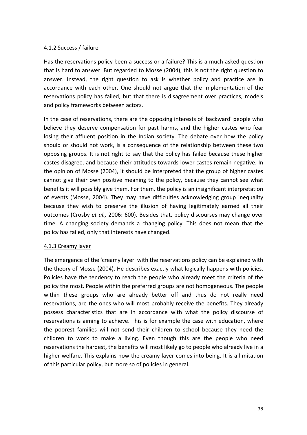#### 4.1.2 Success / failure

Has the reservations policy been a success or a failure? This is a much asked question that is hard to answer. But regarded to Mosse (2004), this is not the right question to answer. Instead, the right question to ask is whether policy and practice are in accordance with each other. One should not argue that the implementation of the reservations policy has failed, but that there is disagreement over practices, models and policy frameworks between actors.

In the case of reservations, there are the opposing interests of 'backward' people who believe they deserve compensation for past harms, and the higher castes who fear losing their affluent position in the Indian society. The debate over how the policy should or should not work, is a consequence of the relationship between these two opposing groups. It is not right to say that the policy has failed because these higher castes disagree, and because their attitudes towards lower castes remain negative. In the opinion of Mosse (2004), it should be interpreted that the group of higher castes cannot give their own positive meaning to the policy, because they cannot see what benefits it will possibly give them. For them, the policy is an insignificant interpretation of events (Mosse, 2004). They may have difficulties acknowledging group inequality because they wish to preserve the illusion of having legitimately earned all their outcomes (Crosby et al., 2006: 600). Besides that, policy discourses may change over time. A changing society demands a changing policy. This does not mean that the policy has failed, only that interests have changed.

#### 4.1.3 Creamy layer

The emergence of the 'creamy layer' with the reservations policy can be explained with the theory of Mosse (2004). He describes exactly what logically happens with policies. Policies have the tendency to reach the people who already meet the criteria of the policy the most. People within the preferred groups are not homogeneous. The people within these groups who are already better off and thus do not really need reservations, are the ones who will most probably receive the benefits. They already possess characteristics that are in accordance with what the policy discourse of reservations is aiming to achieve. This is for example the case with education, where the poorest families will not send their children to school because they need the children to work to make a living. Even though this are the people who need reservations the hardest, the benefits will most likely go to people who already live in a higher welfare. This explains how the creamy layer comes into being. It is a limitation of this particular policy, but more so of policies in general.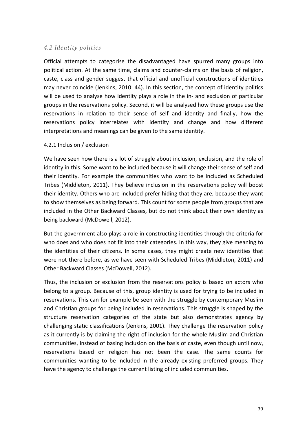#### *4.2 Identity politics*

Official attempts to categorise the disadvantaged have spurred many groups into political action. At the same time, claims and counter-claims on the basis of religion, caste, class and gender suggest that official and unofficial constructions of identities may never coincide (Jenkins, 2010: 44). In this section, the concept of identity politics will be used to analyse how identity plays a role in the in- and exclusion of particular groups in the reservations policy. Second, it will be analysed how these groups use the reservations in relation to their sense of self and identity and finally, how the reservations policy interrelates with identity and change and how different interpretations and meanings can be given to the same identity.

#### 4.2.1 Inclusion / exclusion

We have seen how there is a lot of struggle about inclusion, exclusion, and the role of identity in this. Some want to be included because it will change their sense of self and their identity. For example the communities who want to be included as Scheduled Tribes (Middleton, 2011). They believe inclusion in the reservations policy will boost their identity. Others who are included prefer hiding that they are, because they want to show themselves as being forward. This count for some people from groups that are included in the Other Backward Classes, but do not think about their own identity as being backward (McDowell, 2012).

But the government also plays a role in constructing identities through the criteria for who does and who does not fit into their categories. In this way, they give meaning to the identities of their citizens. In some cases, they might create new identities that were not there before, as we have seen with Scheduled Tribes (Middleton, 2011) and Other Backward Classes (McDowell, 2012).

Thus, the inclusion or exclusion from the reservations policy is based on actors who belong to a group. Because of this, group identity is used for trying to be included in reservations. This can for example be seen with the struggle by contemporary Muslim and Christian groups for being included in reservations. This struggle is shaped by the structure reservation categories of the state but also demonstrates agency by challenging static classifications (Jenkins, 2001). They challenge the reservation policy as it currently is by claiming the right of inclusion for the whole Muslim and Christian communities, instead of basing inclusion on the basis of caste, even though until now, reservations based on religion has not been the case. The same counts for communities wanting to be included in the already existing preferred groups. They have the agency to challenge the current listing of included communities.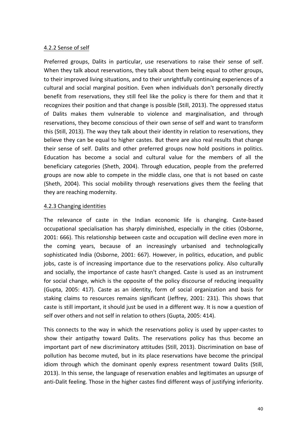#### 4.2.2 Sense of self

Preferred groups, Dalits in particular, use reservations to raise their sense of self. When they talk about reservations, they talk about them being equal to other groups, to their improved living situations, and to their unrightfully continuing experiences of a cultural and social marginal position. Even when individuals don't personally directly benefit from reservations, they still feel like the policy is there for them and that it recognizes their position and that change is possible (Still, 2013). The oppressed status of Dalits makes them vulnerable to violence and marginalisation, and through reservations, they become conscious of their own sense of self and want to transform this (Still, 2013). The way they talk about their identity in relation to reservations, they believe they can be equal to higher castes. But there are also real results that change their sense of self. Dalits and other preferred groups now hold positions in politics. Education has become a social and cultural value for the members of all the beneficiary categories (Sheth, 2004). Through education, people from the preferred groups are now able to compete in the middle class, one that is not based on caste (Sheth, 2004). This social mobility through reservations gives them the feeling that they are reaching modernity.

#### 4.2.3 Changing identities

The relevance of caste in the Indian economic life is changing. Caste-based occupational specialisation has sharply diminished, especially in the cities (Osborne, 2001: 666). This relationship between caste and occupation will decline even more in the coming years, because of an increasingly urbanised and technologically sophisticated India (Osborne, 2001: 667). However, in politics, education, and public jobs, caste is of increasing importance due to the reservations policy. Also culturally and socially, the importance of caste hasn't changed. Caste is used as an instrument for social change, which is the opposite of the policy discourse of reducing inequality (Gupta, 2005: 417). Caste as an identity, form of social organization and basis for staking claims to resources remains significant (Jeffrey, 2001: 231). This shows that caste is still important, it should just be used in a different way. It is now a question of self over others and not self in relation to others (Gupta, 2005: 414).

This connects to the way in which the reservations policy is used by upper-castes to show their antipathy toward Dalits. The reservations policy has thus become an important part of new discriminatory attitudes (Still, 2013). Discrimination on base of pollution has become muted, but in its place reservations have become the principal idiom through which the dominant openly express resentment toward Dalits (Still, 2013). In this sense, the language of reservation enables and legitimates an upsurge of anti-Dalit feeling. Those in the higher castes find different ways of justifying inferiority.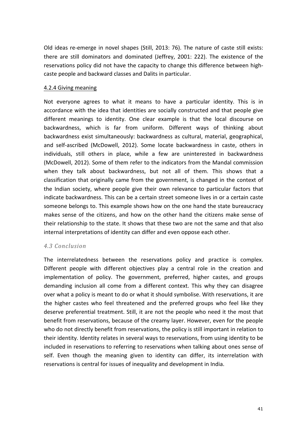Old ideas re-emerge in novel shapes (Still, 2013: 76). The nature of caste still exists: there are still dominators and dominated (Jeffrey, 2001: 222). The existence of the reservations policy did not have the capacity to change this difference between highcaste people and backward classes and Dalits in particular.

#### 4.2.4 Giving meaning

Not everyone agrees to what it means to have a particular identity. This is in accordance with the idea that identities are socially constructed and that people give different meanings to identity. One clear example is that the local discourse on backwardness, which is far from uniform. Different ways of thinking about backwardness exist simultaneously: backwardness as cultural, material, geographical, and self-ascribed (McDowell, 2012). Some locate backwardness in caste, others in individuals, still others in place, while a few are uninterested in backwardness (McDowell, 2012). Some of them refer to the indicators from the Mandal commission when they talk about backwardness, but not all of them. This shows that a classification that originally came from the government, is changed in the context of the Indian society, where people give their own relevance to particular factors that indicate backwardness. This can be a certain street someone lives in or a certain caste someone belongs to. This example shows how on the one hand the state bureaucracy makes sense of the citizens, and how on the other hand the citizens make sense of their relationship to the state. It shows that these two are not the same and that also internal interpretations of identity can differ and even oppose each other.

#### *4.3 Conclusion*

The interrelatedness between the reservations policy and practice is complex. Different people with different objectives play a central role in the creation and implementation of policy. The government, preferred, higher castes, and groups demanding inclusion all come from a different context. This why they can disagree over what a policy is meant to do or what it should symbolise. With reservations, it are the higher castes who feel threatened and the preferred groups who feel like they deserve preferential treatment. Still, it are not the people who need it the most that benefit from reservations, because of the creamy layer. However, even for the people who do not directly benefit from reservations, the policy is still important in relation to their identity. Identity relates in several ways to reservations, from using identity to be included in reservations to referring to reservations when talking about ones sense of self. Even though the meaning given to identity can differ, its interrelation with reservations is central for issues of inequality and development in India.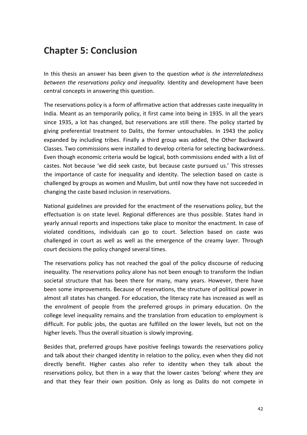## **Chapter 5: Conclusion**

In this thesis an answer has been given to the question *what is the interrelatedness* between the reservations policy and inequality. Identity and development have been central concepts in answering this question.

The reservations policy is a form of affirmative action that addresses caste inequality in India. Meant as an temporarily policy, it first came into being in 1935. In all the years since 1935, a lot has changed, but reservations are still there. The policy started by giving preferential treatment to Dalits, the former untouchables. In 1943 the policy expanded by including tribes. Finally a third group was added, the Other Backward Classes. Two commissions were installed to develop criteria for selecting backwardness. Even though economic criteria would be logical, both commissions ended with a list of castes. Not because 'we did seek caste, but because caste pursued us.' This stresses the importance of caste for inequality and identity. The selection based on caste is challenged by groups as women and Muslim, but until now they have not succeeded in changing the caste based inclusion in reservations.

National guidelines are provided for the enactment of the reservations policy, but the effectuation is on state level. Regional differences are thus possible. States hand in yearly annual reports and inspections take place to monitor the enactment. In case of violated conditions, individuals can go to court. Selection based on caste was challenged in court as well as well as the emergence of the creamy layer. Through court decisions the policy changed several times.

The reservations policy has not reached the goal of the policy discourse of reducing inequality. The reservations policy alone has not been enough to transform the Indian societal structure that has been there for many, many years. However, there have been some improvements. Because of reservations, the structure of political power in almost all states has changed. For education, the literacy rate has increased as well as the enrolment of people from the preferred groups in primary education. On the college level inequality remains and the translation from education to employment is difficult. For public jobs, the quotas are fulfilled on the lower levels, but not on the higher levels. Thus the overall situation is slowly improving.

Besides that, preferred groups have positive feelings towards the reservations policy and talk about their changed identity in relation to the policy, even when they did not directly benefit. Higher castes also refer to identity when they talk about the reservations policy, but then in a way that the lower castes 'belong' where they are and that they fear their own position. Only as long as Dalits do not compete in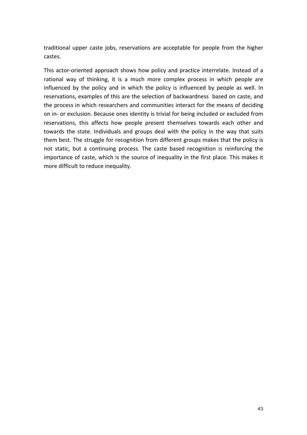traditional upper caste jobs, reservations are acceptable for people from the higher castes.

This actor-oriented approach shows how policy and practice interrelate. Instead of a rational way of thinking, it is a much more complex process in which people are influenced by the policy and in which the policy is influenced by people as well. In reservations, examples of this are the selection of backwardness based on caste, and the process in which researchers and communities interact for the means of deciding on in- or exclusion. Because ones identity is trivial for being included or excluded from reservations, this affects how people present themselves towards each other and towards the state. Individuals and groups deal with the policy in the way that suits them best. The struggle for recognition from different groups makes that the policy is not static, but a continuing process. The caste based recognition is reinforcing the importance of caste, which is the source of inequality in the first place. This makes it more difficult to reduce inequality.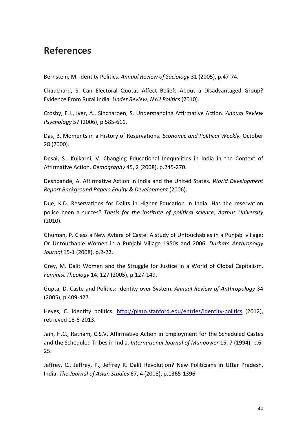## **References**

Bernstein, M. Identity Politics. *Annual Review of Sociology* 31 (2005), p.47-74.

Chauchard, S. Can Electoral Quotas Affect Beliefs About a Disadvantaged Group? Evidence From Rural India. *Under Review, NYU Politics* (2010).

Crosby, F.J., Iyer, A., Sincharoen, S. Understanding Affirmative Action. Annual Review *Psychology* 57 (2006), p.585-611.

Das, B. Moments in a History of Reservations. *Economic and Political Weekly*. October 28 (2000).

Desai, S., Kulkarni, V. Changing Educational Inequalities in India in the Context of Affirmative Action. *Demography* 45, 2 (2008), p.245-270.

Deshpande, A. Affirmative Action in India and the United States. *World Development Report Background Papers Equity & Development* (2006).

Due, K.D. Reservations for Dalits in Higher Education in India: Has the reservation police been a succes? Thesis for the institute of political science, Aarhus University (2010).

Ghuman, P. Class a New Avtara of Caste: A study of Untouchables in a Punjabi village: Or Untouchable Women in a Punjabi Village 1950s and 2006. *Durham Anthropolgy Journal* 15-1 (2008), p.2-22.

Grey, M. Dalit Women and the Struggle for Justice in a World of Global Capitalism. *Feminist Theology* 14, 127 (2005), p.127-149.

Gupta, D. Caste and Politics: Identity over System. Annual Review of Anthropology 34 (2005), p.409-427.

Heyes, C. Identity politics. http://plato.stanford.edu/entries/identity-politics (2012), retrieved 18-6-2013.

Jain, H.C., Ratnam, C.S.V. Affirmative Action in Employment for the Scheduled Castes and the Scheduled Tribes in India. *International Journal of Manpower* 15, 7 (1994), p.6-25.

Jeffrey, C., Jeffrey, P., Jeffrey R. Dalit Revolution? New Politicians in Uttar Pradesh, India. *The Journal of Asian Studies* 67, 4 (2008), p.1365-1396.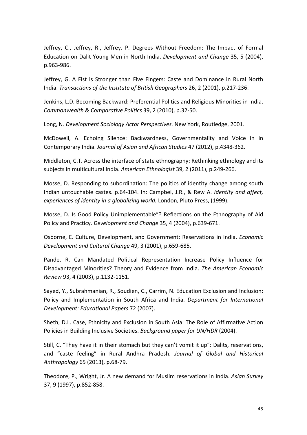Jeffrey, C., Jeffrey, R., Jeffrey. P. Degrees Without Freedom: The Impact of Formal Education on Dalit Young Men in North India. *Development and Change* 35, 5 (2004), p.963-986.

Jeffrey, G. A Fist is Stronger than Five Fingers: Caste and Dominance in Rural North India. *Transactions of the Institute of British Geographers* 26, 2 (2001), p.217-236.

Jenkins, L.D. Becoming Backward: Preferential Politics and Religious Minorities in India. *Commonwealth & Comparative Politics* 39, 2 (2010), p.32-50.

Long, N. Development Sociology Actor Perspectives. New York, Routledge, 2001.

McDowell, A. Echoing Silence: Backwardness, Governmentality and Voice in in Contemporary India. Journal of Asian and African Studies 47 (2012), p.4348-362.

Middleton, C.T. Across the interface of state ethnography: Rethinking ethnology and its subjects in multicultural India. *American Ethnologist* 39, 2 (2011), p.249-266.

Mosse, D. Responding to subordination: The politics of identity change among south Indian untouchable castes. p.64-104. In: Campbel, J.R., & Rew A. *Identity and affect, experiences of identity in a globalizing world.* London, Pluto Press, (1999).

Mosse, D. Is Good Policy Unimplementable"? Reflections on the Ethnography of Aid Policy and Practicy. *Development and Change* 35, 4 (2004), p.639-671.

Osborne, E. Culture, Development, and Government: Reservations in India. *Economic Development and Cultural Change* 49, 3 (2001), p.659-685.

Pande, R. Can Mandated Political Representation Increase Policy Influence for Disadvantaged Minorities? Theory and Evidence from India. The American Economic *Review* 93, 4 (2003), p.1132-1151.

Sayed, Y., Subrahmanian, R., Soudien, C., Carrim, N. Education Exclusion and Inclusion: Policy and Implementation in South Africa and India. *Department for International Development: Educational Papers* 72 (2007).

Sheth, D.L. Case, Ethnicity and Exclusion in South Asia: The Role of Affirmative Action Policies in Building Inclusive Societies. *Background paper for UN/HDR* (2004).

Still, C. "They have it in their stomach but they can't vomit it up": Dalits, reservations, and "caste feeling" in Rural Andhra Pradesh. Journal of Global and Historical *Anthropology* 65 (2013), p.68-79.

Theodore, P., Wright, Jr. A new demand for Muslim reservations in India. *Asian Survey* 37, 9 (1997), p.852-858.